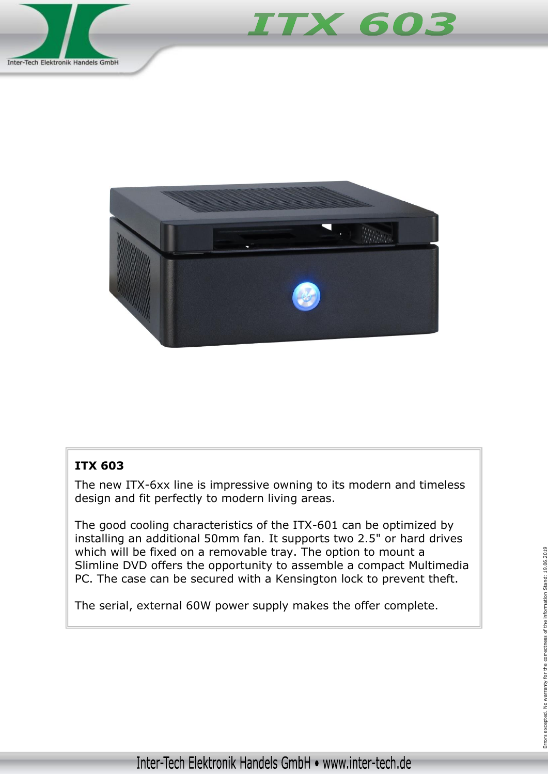



## **ITX 603**

The new ITX-6xx line is impressive owning to its modern and timeless design and fit perfectly to modern living areas.

The good cooling characteristics of the ITX-601 can be optimized by installing an additional 50mm fan. It supports two 2.5" or hard drives which will be fixed on a removable tray. The option to mount a Slimline DVD offers the opportunity to assemble a compact Multimedia PC. The case can be secured with a Kensington lock to prevent theft.

The serial, external 60W power supply makes the offer complete.